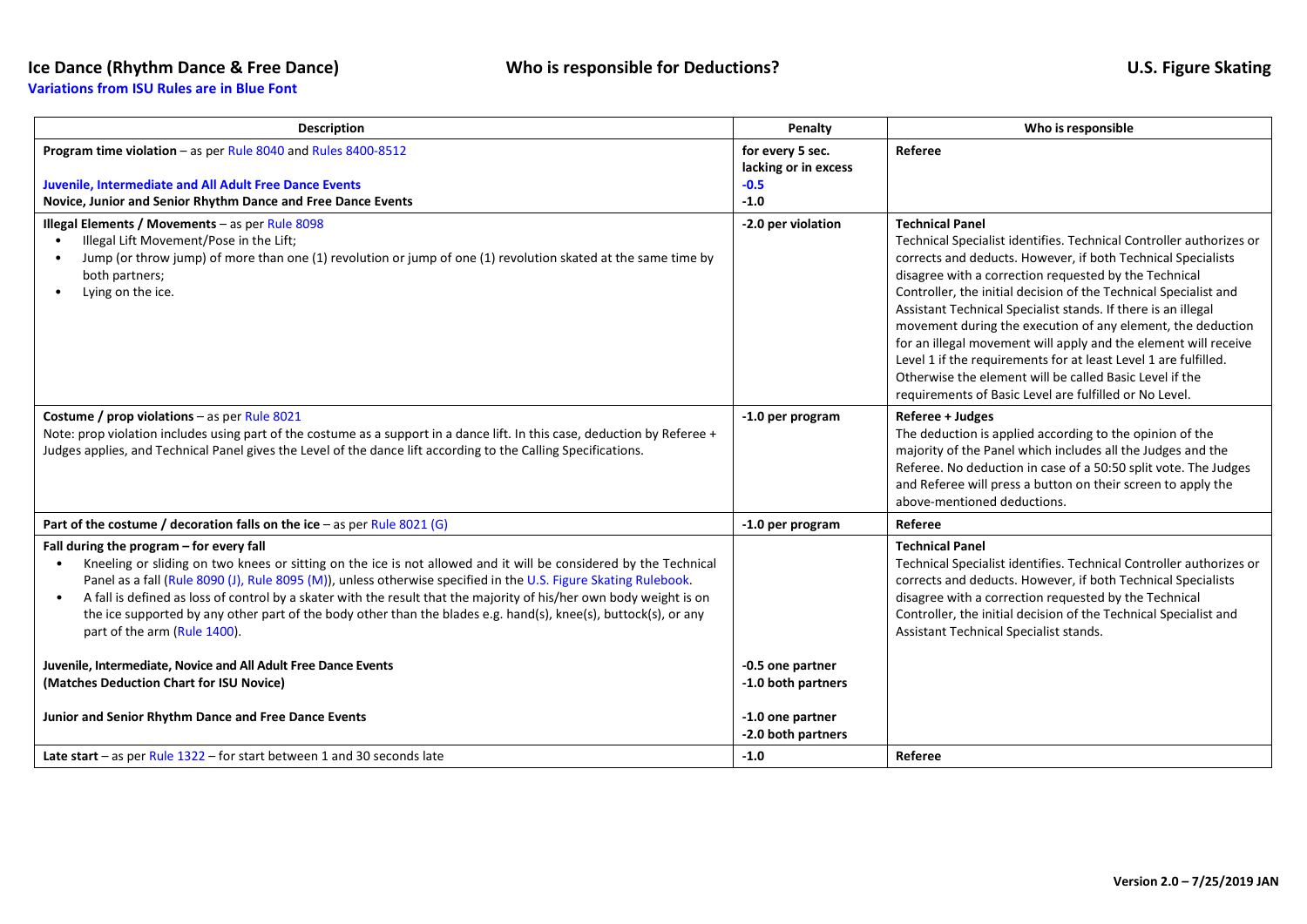## **Ice Dance (Rhythm Dance & Free Dance) Who is responsible for Deductions? U.S. Figure Skating**

**Variations from ISU Rules are in Blue Font**

| <b>Description</b>                                                                                                                                                                                                                                                                                                                                                                                                                                                                                                                                                                                                                                                                                                                           | Penalty                                                      | Who is responsible                                                                                                                                                                                                                                                                                                                                                                                                                                                                                                                                                                                                                                                                    |
|----------------------------------------------------------------------------------------------------------------------------------------------------------------------------------------------------------------------------------------------------------------------------------------------------------------------------------------------------------------------------------------------------------------------------------------------------------------------------------------------------------------------------------------------------------------------------------------------------------------------------------------------------------------------------------------------------------------------------------------------|--------------------------------------------------------------|---------------------------------------------------------------------------------------------------------------------------------------------------------------------------------------------------------------------------------------------------------------------------------------------------------------------------------------------------------------------------------------------------------------------------------------------------------------------------------------------------------------------------------------------------------------------------------------------------------------------------------------------------------------------------------------|
| Program time violation - as per Rule 8040 and Rules 8400-8512<br><b>Juvenile, Intermediate and All Adult Free Dance Events</b><br>Novice, Junior and Senior Rhythm Dance and Free Dance Events                                                                                                                                                                                                                                                                                                                                                                                                                                                                                                                                               | for every 5 sec.<br>lacking or in excess<br>$-0.5$<br>$-1.0$ | Referee                                                                                                                                                                                                                                                                                                                                                                                                                                                                                                                                                                                                                                                                               |
| Illegal Elements / Movements - as per Rule $8098$<br>Illegal Lift Movement/Pose in the Lift;<br>Jump (or throw jump) of more than one (1) revolution or jump of one (1) revolution skated at the same time by<br>both partners;<br>Lying on the ice.                                                                                                                                                                                                                                                                                                                                                                                                                                                                                         | -2.0 per violation                                           | <b>Technical Panel</b><br>Technical Specialist identifies. Technical Controller authorizes or<br>corrects and deducts. However, if both Technical Specialists<br>disagree with a correction requested by the Technical<br>Controller, the initial decision of the Technical Specialist and<br>Assistant Technical Specialist stands. If there is an illegal<br>movement during the execution of any element, the deduction<br>for an illegal movement will apply and the element will receive<br>Level 1 if the requirements for at least Level 1 are fulfilled.<br>Otherwise the element will be called Basic Level if the<br>requirements of Basic Level are fulfilled or No Level. |
| Costume / prop violations - as per Rule 8021<br>Note: prop violation includes using part of the costume as a support in a dance lift. In this case, deduction by Referee +<br>Judges applies, and Technical Panel gives the Level of the dance lift according to the Calling Specifications.                                                                                                                                                                                                                                                                                                                                                                                                                                                 | -1.0 per program                                             | Referee + Judges<br>The deduction is applied according to the opinion of the<br>majority of the Panel which includes all the Judges and the<br>Referee. No deduction in case of a 50:50 split vote. The Judges<br>and Referee will press a button on their screen to apply the<br>above-mentioned deductions.                                                                                                                                                                                                                                                                                                                                                                         |
| Part of the costume / decoration falls on the ice - as per Rule 8021 (G)                                                                                                                                                                                                                                                                                                                                                                                                                                                                                                                                                                                                                                                                     | -1.0 per program                                             | Referee                                                                                                                                                                                                                                                                                                                                                                                                                                                                                                                                                                                                                                                                               |
| Fall during the program - for every fall<br>Kneeling or sliding on two knees or sitting on the ice is not allowed and it will be considered by the Technical<br>Panel as a fall (Rule 8090 (J), Rule 8095 (M)), unless otherwise specified in the U.S. Figure Skating Rulebook.<br>A fall is defined as loss of control by a skater with the result that the majority of his/her own body weight is on<br>$\bullet$<br>the ice supported by any other part of the body other than the blades e.g. hand(s), knee(s), buttock(s), or any<br>part of the arm (Rule 1400).<br>Juvenile, Intermediate, Novice and All Adult Free Dance Events<br>(Matches Deduction Chart for ISU Novice)<br>Junior and Senior Rhythm Dance and Free Dance Events | -0.5 one partner<br>-1.0 both partners<br>-1.0 one partner   | <b>Technical Panel</b><br>Technical Specialist identifies. Technical Controller authorizes or<br>corrects and deducts. However, if both Technical Specialists<br>disagree with a correction requested by the Technical<br>Controller, the initial decision of the Technical Specialist and<br>Assistant Technical Specialist stands.                                                                                                                                                                                                                                                                                                                                                  |
| Late start – as per Rule $1322$ – for start between 1 and 30 seconds late                                                                                                                                                                                                                                                                                                                                                                                                                                                                                                                                                                                                                                                                    | -2.0 both partners<br>$-1.0$                                 | Referee                                                                                                                                                                                                                                                                                                                                                                                                                                                                                                                                                                                                                                                                               |